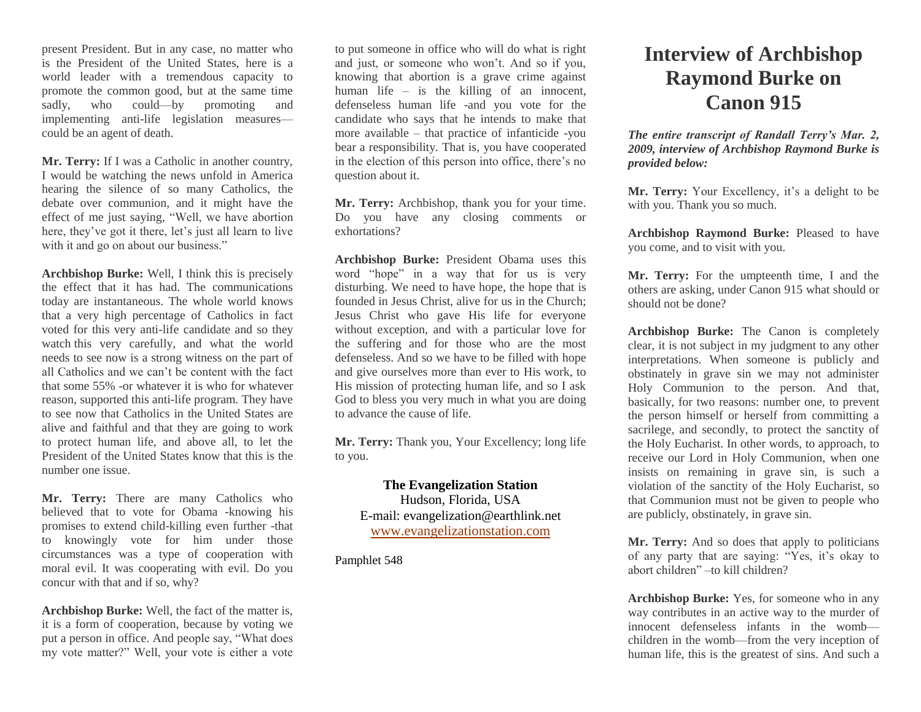present President. But in any case, no matter who is the President of the United States, here is a world leader with a tremendous capacity to promote the common good, but at the same time sadly, who could—by promoting and implementing anti-life legislation measures could be an agent of death.

**Mr. Terry:** If I was a Catholic in another country, I would be watching the news unfold in America hearing the silence of so many Catholics, the debate over communion, and it might have the effect of me just saying, "Well, we have abortion here, they've got it there, let's just all learn to live with it and go on about our business."

**Archbishop Burke:** Well, I think this is precisely the effect that it has had. The communications today are instantaneous. The whole world knows that a very high percentage of Catholics in fact voted for this very anti-life candidate and so they watch this very carefully, and what the world needs to see now is a strong witness on the part of all Catholics and we can't be content with the fact that some 55% -or whatever it is who for whatever reason, supported this anti-life program. They have to see now that Catholics in the United States are alive and faithful and that they are going to work to protect human life, and above all, to let the President of the United States know that this is the number one issue.

**Mr. Terry:** There are many Catholics who believed that to vote for Obama -knowing his promises to extend child-killing even further -that to knowingly vote for him under those circumstances was a type of cooperation with moral evil. It was cooperating with evil. Do you concur with that and if so, why?

**Archbishop Burke:** Well, the fact of the matter is, it is a form of cooperation, because by voting we put a person in office. And people say, "What does my vote matter?" Well, your vote is either a vote

to put someone in office who will do what is right and just, or someone who won't. And so if you, knowing that abortion is a grave crime against human life – is the killing of an innocent, defenseless human life -and you vote for the candidate who says that he intends to make that more available – that practice of infanticide -you bear a responsibility. That is, you have cooperated in the election of this person into office, there's no question about it.

**Mr. Terry:** Archbishop, thank you for your time. Do you have any closing comments or exhortations?

**Archbishop Burke:** President Obama uses this word "hope" in a way that for us is very disturbing. We need to have hope, the hope that is founded in Jesus Christ, alive for us in the Church; Jesus Christ who gave His life for everyone without exception, and with a particular love for the suffering and for those who are the most defenseless. And so we have to be filled with hope and give ourselves more than ever to His work, to His mission of protecting human life, and so I ask God to bless you very much in what you are doing to advance the cause of life.

**Mr. Terry:** Thank you, Your Excellency; long life to you.

## **The Evangelization Station** Hudson, Florida, USA

E-mail: evangelization@earthlink.net [www.evangelizationstation.com](http://www.pjpiisoe.org/)

Pamphlet 548

## **Interview of Archbishop Raymond Burke on Canon 915**

*The entire transcript of Randall Terry's Mar. 2, 2009, interview of Archbishop Raymond Burke is provided below:*

**Mr. Terry:** Your Excellency, it's a delight to be with you. Thank you so much.

**Archbishop Raymond Burke:** Pleased to have you come, and to visit with you.

**Mr. Terry:** For the umpteenth time, I and the others are asking, under Canon 915 what should or should not be done?

**Archbishop Burke:** The Canon is completely clear, it is not subject in my judgment to any other interpretations. When someone is publicly and obstinately in grave sin we may not administer Holy Communion to the person. And that, basically, for two reasons: number one, to prevent the person himself or herself from committing a sacrilege, and secondly, to protect the sanctity of the Holy Eucharist. In other words, to approach, to receive our Lord in Holy Communion, when one insists on remaining in grave sin, is such a violation of the sanctity of the Holy Eucharist, so that Communion must not be given to people who are publicly, obstinately, in grave sin.

**Mr. Terry:** And so does that apply to politicians of any party that are saying: "Yes, it's okay to abort children" –to kill children?

**Archbishop Burke:** Yes, for someone who in any way contributes in an active way to the murder of innocent defenseless infants in the womb children in the womb—from the very inception of human life, this is the greatest of sins. And such a